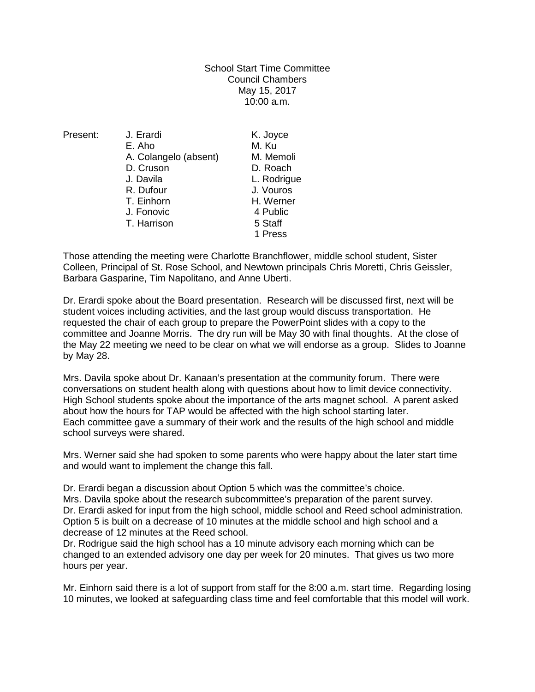School Start Time Committee Council Chambers May 15, 2017 10:00 a.m.

Present: J. Erardi K. Joyce E. Aho M. Ku<br>A. Colangelo (absent) M. Memoli A. Colangelo (absent) M. Memol<br>D. Cruson D. Roach D. Cruson<br>J. Davila L. Rodrigue R. Dufour J. Vouros T. Einhorn H. Werner J. Fonovic 4 Public T. Harrison 5 Staff 1 Press

Those attending the meeting were Charlotte Branchflower, middle school student, Sister Colleen, Principal of St. Rose School, and Newtown principals Chris Moretti, Chris Geissler, Barbara Gasparine, Tim Napolitano, and Anne Uberti.

Dr. Erardi spoke about the Board presentation. Research will be discussed first, next will be student voices including activities, and the last group would discuss transportation. He requested the chair of each group to prepare the PowerPoint slides with a copy to the committee and Joanne Morris. The dry run will be May 30 with final thoughts. At the close of the May 22 meeting we need to be clear on what we will endorse as a group. Slides to Joanne by May 28.

Mrs. Davila spoke about Dr. Kanaan's presentation at the community forum. There were conversations on student health along with questions about how to limit device connectivity. High School students spoke about the importance of the arts magnet school. A parent asked about how the hours for TAP would be affected with the high school starting later. Each committee gave a summary of their work and the results of the high school and middle school surveys were shared.

Mrs. Werner said she had spoken to some parents who were happy about the later start time and would want to implement the change this fall.

Dr. Erardi began a discussion about Option 5 which was the committee's choice. Mrs. Davila spoke about the research subcommittee's preparation of the parent survey. Dr. Erardi asked for input from the high school, middle school and Reed school administration. Option 5 is built on a decrease of 10 minutes at the middle school and high school and a decrease of 12 minutes at the Reed school.

Dr. Rodrigue said the high school has a 10 minute advisory each morning which can be changed to an extended advisory one day per week for 20 minutes. That gives us two more hours per year.

Mr. Einhorn said there is a lot of support from staff for the 8:00 a.m. start time. Regarding losing 10 minutes, we looked at safeguarding class time and feel comfortable that this model will work.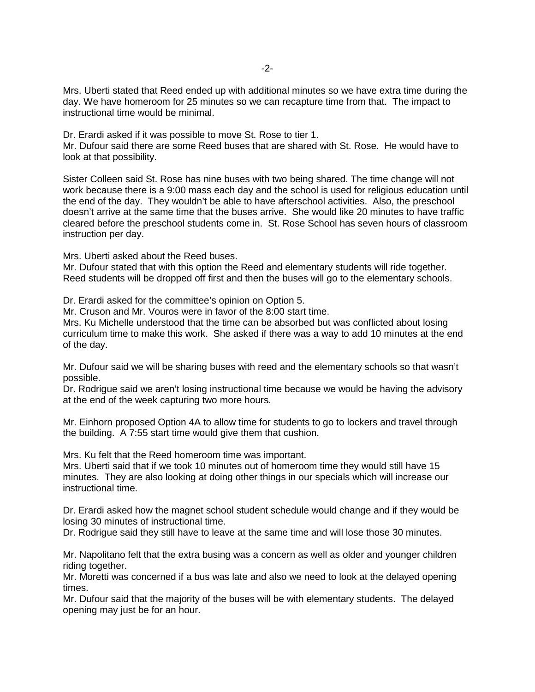Mrs. Uberti stated that Reed ended up with additional minutes so we have extra time during the day. We have homeroom for 25 minutes so we can recapture time from that. The impact to instructional time would be minimal.

Dr. Erardi asked if it was possible to move St. Rose to tier 1.

Mr. Dufour said there are some Reed buses that are shared with St. Rose. He would have to look at that possibility.

Sister Colleen said St. Rose has nine buses with two being shared. The time change will not work because there is a 9:00 mass each day and the school is used for religious education until the end of the day. They wouldn't be able to have afterschool activities. Also, the preschool doesn't arrive at the same time that the buses arrive. She would like 20 minutes to have traffic cleared before the preschool students come in. St. Rose School has seven hours of classroom instruction per day.

Mrs. Uberti asked about the Reed buses.

Mr. Dufour stated that with this option the Reed and elementary students will ride together. Reed students will be dropped off first and then the buses will go to the elementary schools.

Dr. Erardi asked for the committee's opinion on Option 5.

Mr. Cruson and Mr. Vouros were in favor of the 8:00 start time.

Mrs. Ku Michelle understood that the time can be absorbed but was conflicted about losing curriculum time to make this work. She asked if there was a way to add 10 minutes at the end of the day.

Mr. Dufour said we will be sharing buses with reed and the elementary schools so that wasn't possible.

Dr. Rodrigue said we aren't losing instructional time because we would be having the advisory at the end of the week capturing two more hours.

Mr. Einhorn proposed Option 4A to allow time for students to go to lockers and travel through the building. A 7:55 start time would give them that cushion.

Mrs. Ku felt that the Reed homeroom time was important.

Mrs. Uberti said that if we took 10 minutes out of homeroom time they would still have 15 minutes. They are also looking at doing other things in our specials which will increase our instructional time.

Dr. Erardi asked how the magnet school student schedule would change and if they would be losing 30 minutes of instructional time.

Dr. Rodrigue said they still have to leave at the same time and will lose those 30 minutes.

Mr. Napolitano felt that the extra busing was a concern as well as older and younger children riding together.

Mr. Moretti was concerned if a bus was late and also we need to look at the delayed opening times.

Mr. Dufour said that the majority of the buses will be with elementary students. The delayed opening may just be for an hour.